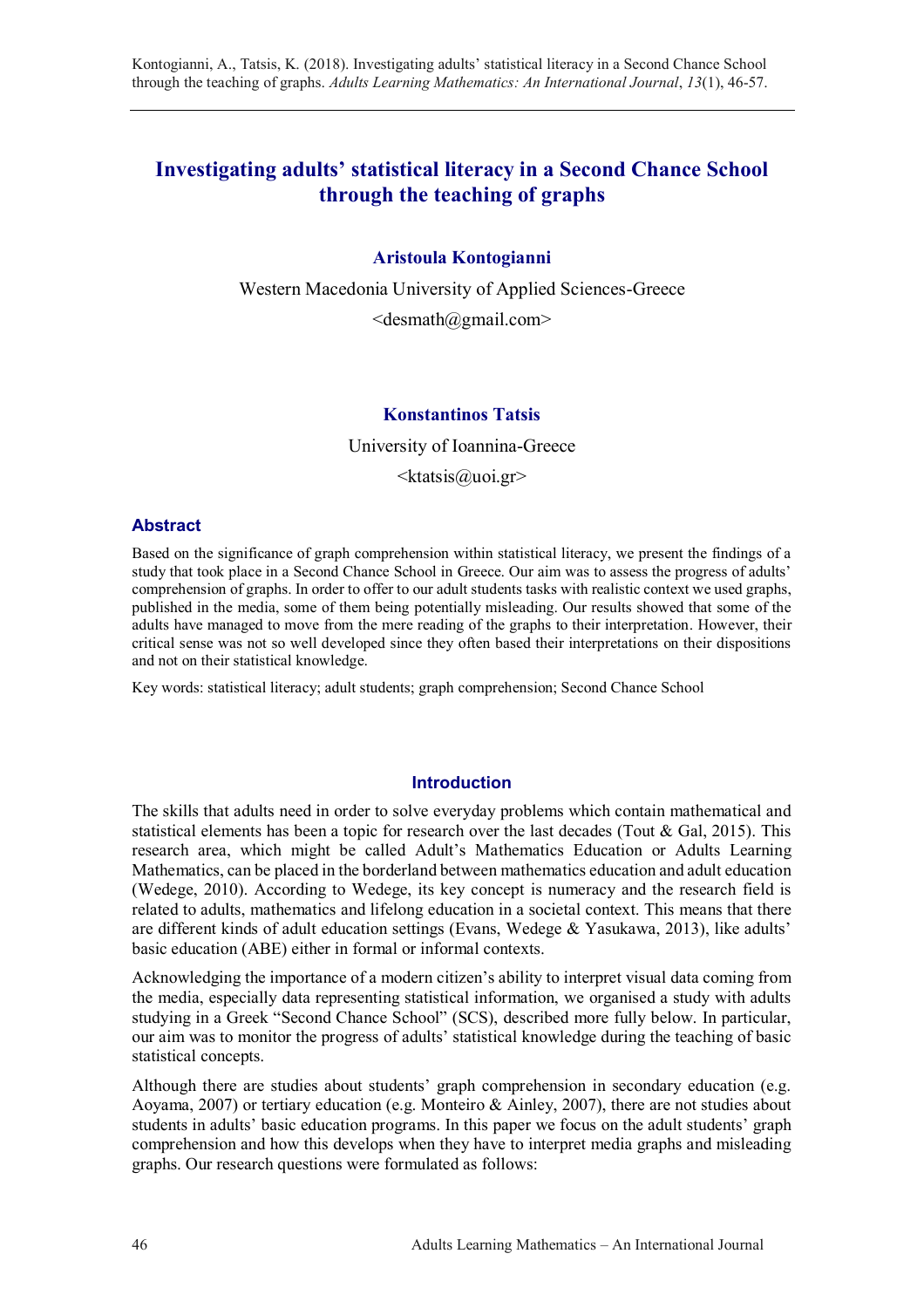# **Investigating adults' statistical literacy in a Second Chance School through the teaching of graphs**

## **Aristoula Kontogianni**

Western Macedonia University of Applied Sciences-Greece  $\le$ desmath@gmail.com>

### **Konstantinos Tatsis**

University of Ioannina-Greece

 $\langle k$ tatsis@uoi.gr>

#### **Abstract**

Based on the significance of graph comprehension within statistical literacy, we present the findings of a study that took place in a Second Chance School in Greece. Our aim was to assess the progress of adults' comprehension of graphs. In order to offer to our adult students tasks with realistic context we used graphs, published in the media, some of them being potentially misleading. Our results showed that some of the adults have managed to move from the mere reading of the graphs to their interpretation. However, their critical sense was not so well developed since they often based their interpretations on their dispositions and not on their statistical knowledge.

Key words: statistical literacy; adult students; graph comprehension; Second Chance School

#### **Introduction**

The skills that adults need in order to solve everyday problems which contain mathematical and statistical elements has been a topic for research over the last decades (Tout & Gal, 2015). This research area, which might be called Adult's Mathematics Education or Adults Learning Mathematics, can be placed in the borderland between mathematics education and adult education (Wedege, 2010). According to Wedege, its key concept is numeracy and the research field is related to adults, mathematics and lifelong education in a societal context. This means that there are different kinds of adult education settings (Evans, Wedege  $\&$  Yasukawa, 2013), like adults' basic education (ABE) either in formal or informal contexts.

Acknowledging the importance of a modern citizen's ability to interpret visual data coming from the media, especially data representing statistical information, we organised a study with adults studying in a Greek "Second Chance School" (SCS), described more fully below. In particular, our aim was to monitor the progress of adults' statistical knowledge during the teaching of basic statistical concepts.

Although there are studies about students' graph comprehension in secondary education (e.g. Aoyama, 2007) or tertiary education (e.g. Monteiro & Ainley, 2007), there are not studies about students in adults' basic education programs. In this paper we focus on the adult students' graph comprehension and how this develops when they have to interpret media graphs and misleading graphs. Our research questions were formulated as follows: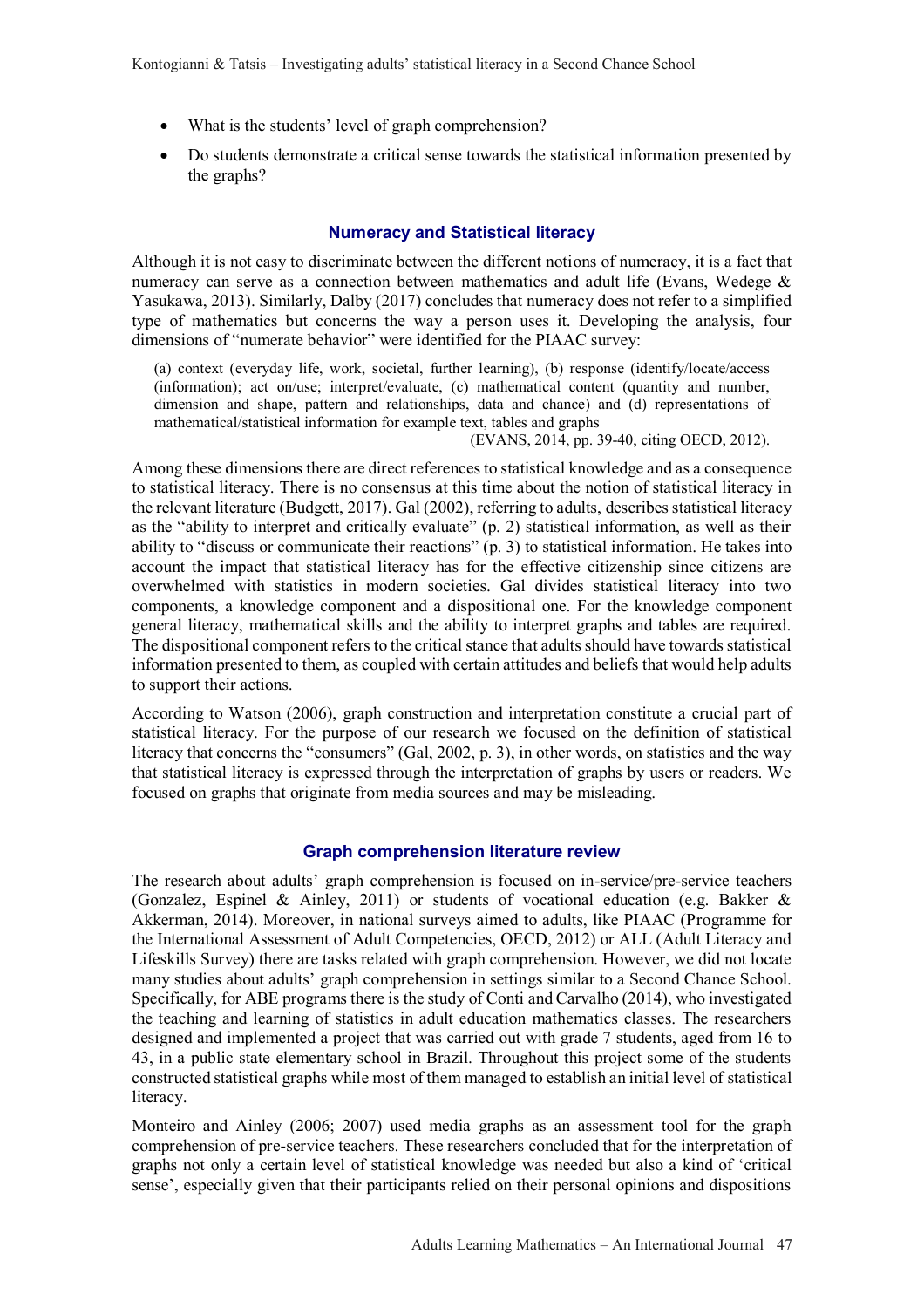- What is the students' level of graph comprehension?
- Do students demonstrate a critical sense towards the statistical information presented by the graphs?

#### **Numeracy and Statistical literacy**

Although it is not easy to discriminate between the different notions of numeracy, it is a fact that numeracy can serve as a connection between mathematics and adult life (Evans, Wedege & Yasukawa, 2013). Similarly, Dalby (2017) concludes that numeracy does not refer to a simplified type of mathematics but concerns the way a person uses it. Developing the analysis, four dimensions of "numerate behavior" were identified for the PIAAC survey:

(a) context (everyday life, work, societal, further learning), (b) response (identify/locate/access (information); act on/use; interpret/evaluate, (c) mathematical content (quantity and number, dimension and shape, pattern and relationships, data and chance) and (d) representations of mathematical/statistical information for example text, tables and graphs

(EVANS, 2014, pp. 39-40, citing OECD, 2012).

Among these dimensions there are direct references to statistical knowledge and as a consequence to statistical literacy. There is no consensus at this time about the notion of statistical literacy in the relevant literature (Budgett, 2017). Gal (2002), referring to adults, describes statistical literacy as the "ability to interpret and critically evaluate" (p. 2) statistical information, as well as their ability to "discuss or communicate their reactions" (p. 3) to statistical information. He takes into account the impact that statistical literacy has for the effective citizenship since citizens are overwhelmed with statistics in modern societies. Gal divides statistical literacy into two components, a knowledge component and a dispositional one. For the knowledge component general literacy, mathematical skills and the ability to interpret graphs and tables are required. The dispositional component refers to the critical stance that adults should have towards statistical information presented to them, as coupled with certain attitudes and beliefs that would help adults to support their actions.

According to Watson (2006), graph construction and interpretation constitute a crucial part of statistical literacy. For the purpose of our research we focused on the definition of statistical literacy that concerns the "consumers" (Gal, 2002, p. 3), in other words, on statistics and the way that statistical literacy is expressed through the interpretation of graphs by users or readers. We focused on graphs that originate from media sources and may be misleading.

#### **Graph comprehension literature review**

The research about adults' graph comprehension is focused on in-service/pre-service teachers (Gonzalez, Espinel & Ainley, 2011) or students of vocational education (e.g. Bakker & Akkerman, 2014). Moreover, in national surveys aimed to adults, like PIAAC (Programme for the International Assessment of Adult Competencies, OECD, 2012) or ALL (Adult Literacy and Lifeskills Survey) there are tasks related with graph comprehension. However, we did not locate many studies about adults' graph comprehension in settings similar to a Second Chance School. Specifically, for ABE programs there is the study of Conti and Carvalho (2014), who investigated the teaching and learning of statistics in adult education mathematics classes. The researchers designed and implemented a project that was carried out with grade 7 students, aged from 16 to 43, in a public state elementary school in Brazil. Throughout this project some of the students constructed statistical graphs while most of them managed to establish an initial level of statistical literacy.

Monteiro and Ainley (2006; 2007) used media graphs as an assessment tool for the graph comprehension of pre-service teachers. These researchers concluded that for the interpretation of graphs not only a certain level of statistical knowledge was needed but also a kind of 'critical sense', especially given that their participants relied on their personal opinions and dispositions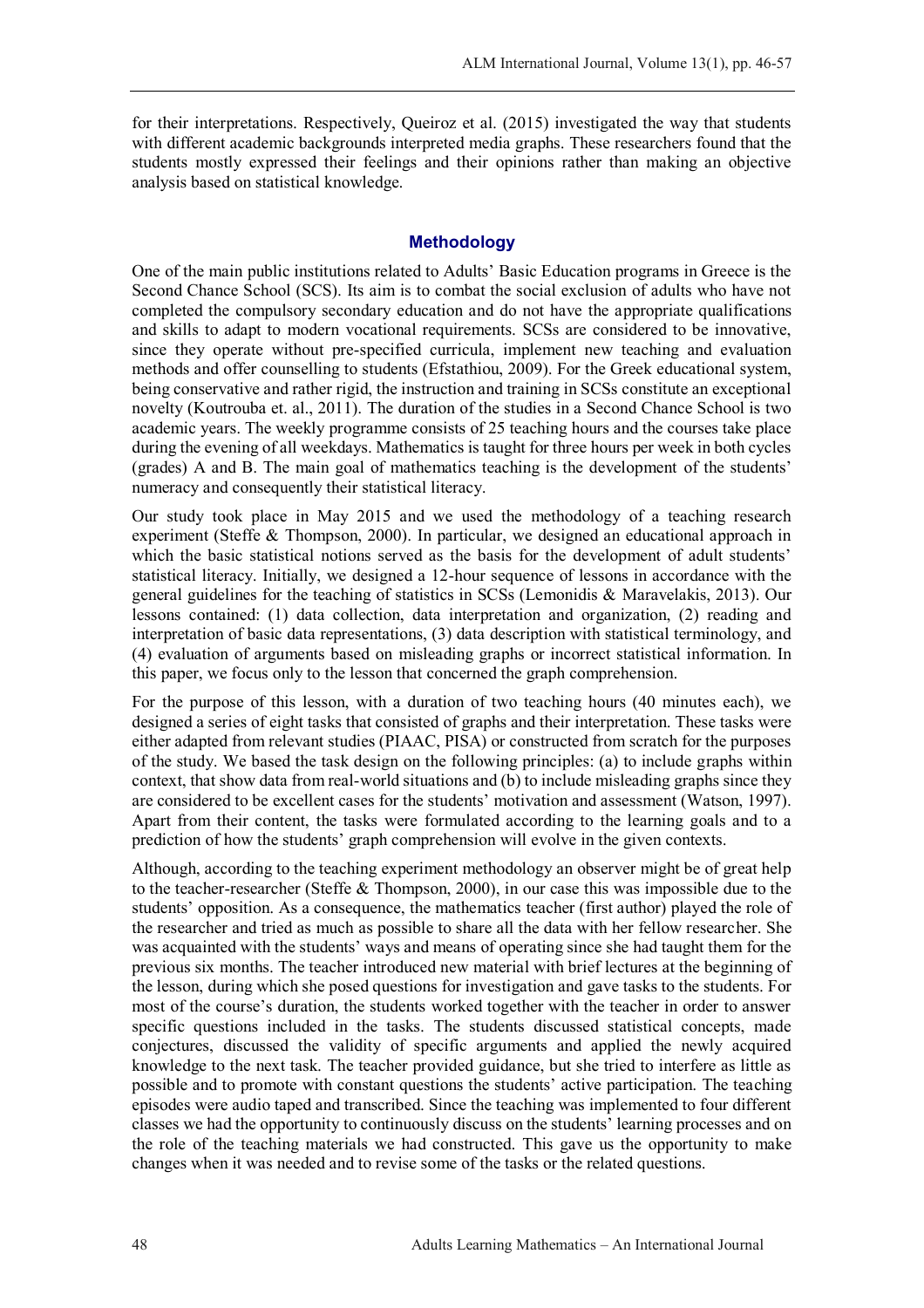for their interpretations. Respectively, Queiroz et al. (2015) investigated the way that students with different academic backgrounds interpreted media graphs. These researchers found that the students mostly expressed their feelings and their opinions rather than making an objective analysis based on statistical knowledge.

#### **Methodology**

One of the main public institutions related to Adults' Basic Education programs in Greece is the Second Chance School (SCS). Its aim is to combat the social exclusion of adults who have not completed the compulsory secondary education and do not have the appropriate qualifications and skills to adapt to modern vocational requirements. SCSs are considered to be innovative, since they operate without pre-specified curricula, implement new teaching and evaluation methods and offer counselling to students (Efstathiou, 2009). For the Greek educational system, being conservative and rather rigid, the instruction and training in SCSs constitute an exceptional novelty (Koutrouba et. al., 2011). The duration of the studies in a Second Chance School is two academic years. The weekly programme consists of 25 teaching hours and the courses take place during the evening of all weekdays. Mathematics is taught for three hours per week in both cycles (grades) A and B. The main goal of mathematics teaching is the development of the students' numeracy and consequently their statistical literacy.

Our study took place in May 2015 and we used the methodology of a teaching research experiment (Steffe & Thompson, 2000). In particular, we designed an educational approach in which the basic statistical notions served as the basis for the development of adult students' statistical literacy. Initially, we designed a 12-hour sequence of lessons in accordance with the general guidelines for the teaching of statistics in SCSs (Lemonidis & Maravelakis, 2013). Our lessons contained: (1) data collection, data interpretation and organization, (2) reading and interpretation of basic data representations, (3) data description with statistical terminology, and (4) evaluation of arguments based on misleading graphs or incorrect statistical information. In this paper, we focus only to the lesson that concerned the graph comprehension.

For the purpose of this lesson, with a duration of two teaching hours (40 minutes each), we designed a series of eight tasks that consisted of graphs and their interpretation. These tasks were either adapted from relevant studies (PIAAC, PISA) or constructed from scratch for the purposes of the study. We based the task design on the following principles: (a) to include graphs within context, that show data from real-world situations and (b) to include misleading graphs since they are considered to be excellent cases for the students' motivation and assessment (Watson, 1997). Apart from their content, the tasks were formulated according to the learning goals and to a prediction of how the students' graph comprehension will evolve in the given contexts.

Although, according to the teaching experiment methodology an observer might be of great help to the teacher-researcher (Steffe & Thompson, 2000), in our case this was impossible due to the students' opposition. As a consequence, the mathematics teacher (first author) played the role of the researcher and tried as much as possible to share all the data with her fellow researcher. She was acquainted with the students' ways and means of operating since she had taught them for the previous six months. The teacher introduced new material with brief lectures at the beginning of the lesson, during which she posed questions for investigation and gave tasks to the students. For most of the course's duration, the students worked together with the teacher in order to answer specific questions included in the tasks. The students discussed statistical concepts, made conjectures, discussed the validity of specific arguments and applied the newly acquired knowledge to the next task. The teacher provided guidance, but she tried to interfere as little as possible and to promote with constant questions the students' active participation. The teaching episodes were audio taped and transcribed. Since the teaching was implemented to four different classes we had the opportunity to continuously discuss on the students' learning processes and on the role of the teaching materials we had constructed. This gave us the opportunity to make changes when it was needed and to revise some of the tasks or the related questions.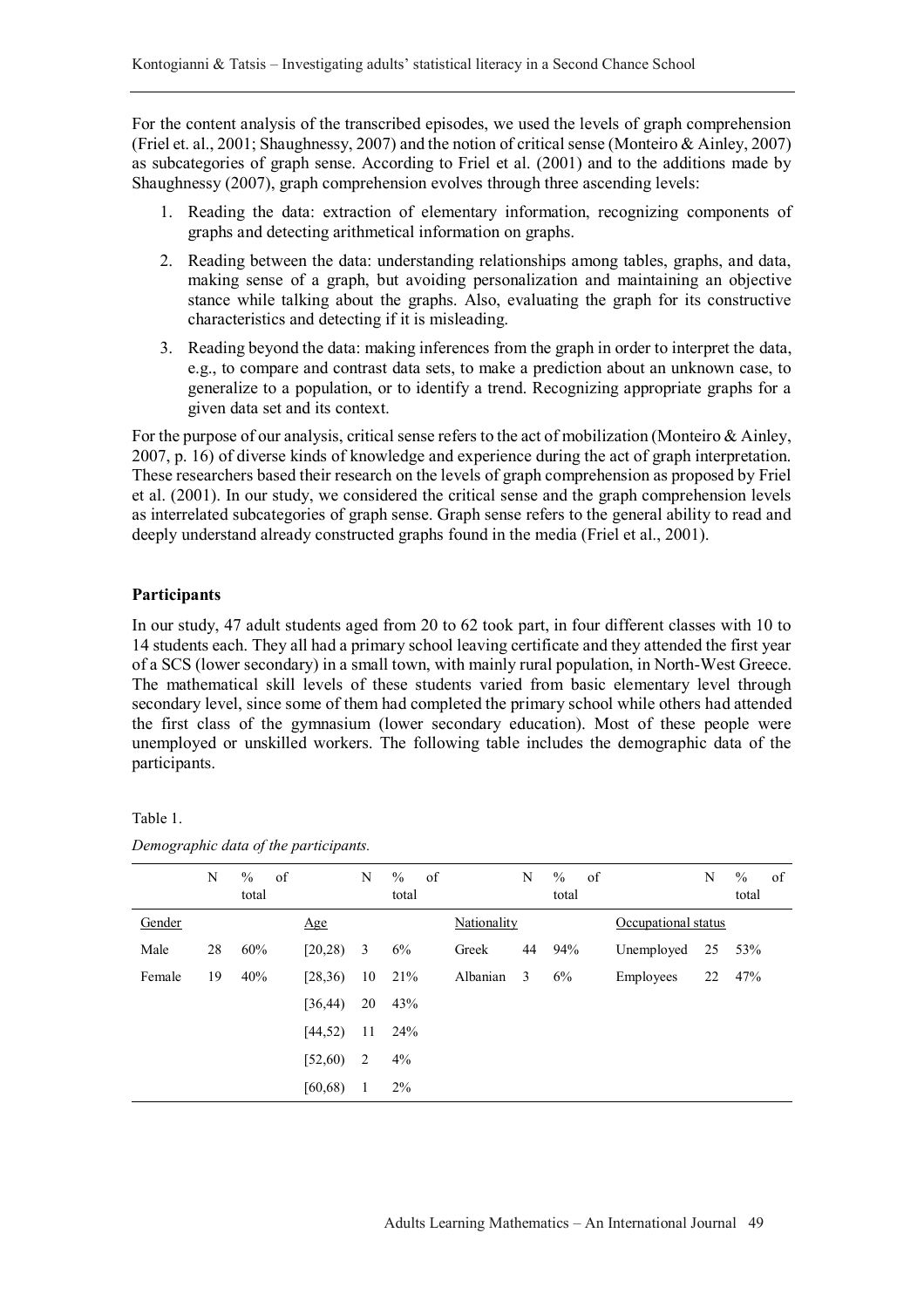For the content analysis of the transcribed episodes, we used the levels of graph comprehension (Friel et. al., 2001; Shaughnessy, 2007) and the notion of critical sense (Monteiro & Ainley, 2007) as subcategories of graph sense. According to Friel et al. (2001) and to the additions made by Shaughnessy (2007), graph comprehension evolves through three ascending levels:

- 1. Reading the data: extraction of elementary information, recognizing components of graphs and detecting arithmetical information on graphs.
- 2. Reading between the data: understanding relationships among tables, graphs, and data, making sense of a graph, but avoiding personalization and maintaining an objective stance while talking about the graphs. Also, evaluating the graph for its constructive characteristics and detecting if it is misleading.
- 3. Reading beyond the data: making inferences from the graph in order to interpret the data, e.g., to compare and contrast data sets, to make a prediction about an unknown case, to generalize to a population, or to identify a trend. Recognizing appropriate graphs for a given data set and its context.

For the purpose of our analysis, critical sense refers to the act of mobilization (Monteiro & Ainley, 2007, p. 16) of diverse kinds of knowledge and experience during the act of graph interpretation. These researchers based their research on the levels of graph comprehension as proposed by Friel et al. (2001). In our study, we considered the critical sense and the graph comprehension levels as interrelated subcategories of graph sense. Graph sense refers to the general ability to read and deeply understand already constructed graphs found in the media (Friel et al., 2001).

#### **Participants**

In our study, 47 adult students aged from 20 to 62 took part, in four different classes with 10 to 14 students each. They all had a primary school leaving certificate and they attended the first year of a SCS (lower secondary) in a small town, with mainly rural population, in North-West Greece. The mathematical skill levels of these students varied from basic elementary level through secondary level, since some of them had completed the primary school while others had attended the first class of the gymnasium (lower secondary education). Most of these people were unemployed or unskilled workers. The following table includes the demographic data of the participants.

| ant |  |
|-----|--|
|     |  |

*Demographic data of the participants.*

|        | N  | $\%$<br>total | of       | N  | $\frac{0}{0}$<br>of<br>total |             | N  | $\%$<br>of<br>total |                     | N  | $\frac{0}{0}$<br>total | of |
|--------|----|---------------|----------|----|------------------------------|-------------|----|---------------------|---------------------|----|------------------------|----|
| Gender |    |               | Age      |    |                              | Nationality |    |                     | Occupational status |    |                        |    |
| Male   | 28 | 60%           | [20, 28) | 3  | 6%                           | Greek       | 44 | 94%                 | Unemployed          | 25 | 53%                    |    |
| Female | 19 | 40%           | [28,36)  | 10 | 21%                          | Albanian    | 3  | 6%                  | Employees           | 22 | 47%                    |    |
|        |    |               | [36, 44] | 20 | 43%                          |             |    |                     |                     |    |                        |    |
|        |    |               | [44, 52) | 11 | 24%                          |             |    |                     |                     |    |                        |    |
|        |    |               | [52, 60) | 2  | 4%                           |             |    |                     |                     |    |                        |    |
|        |    |               | [60, 68) | 1  | $2\%$                        |             |    |                     |                     |    |                        |    |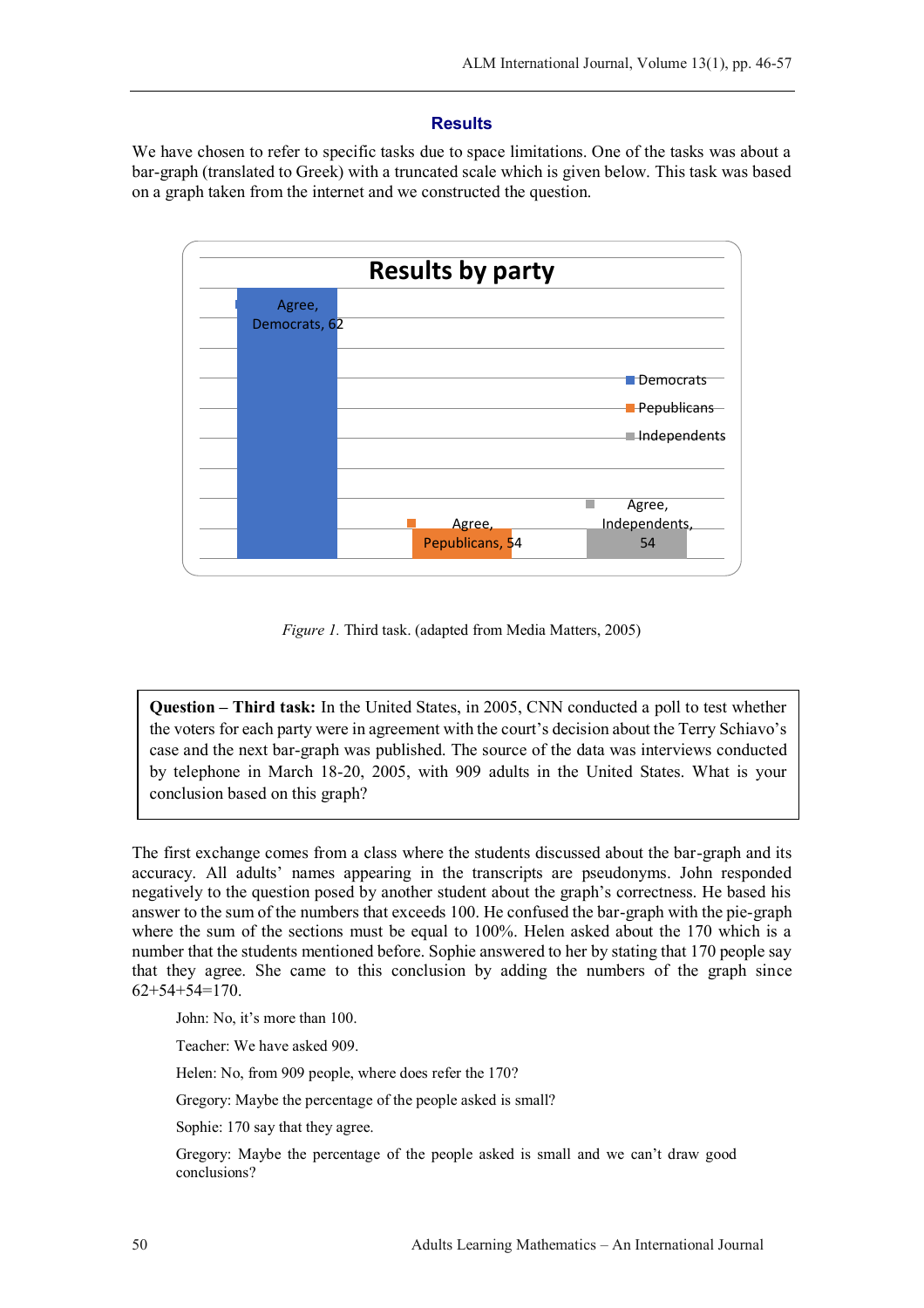### **Results**

We have chosen to refer to specific tasks due to space limitations. One of the tasks was about a bar-graph (translated to Greek) with a truncated scale which is given below. This task was based on a graph taken from the internet and we constructed the question.



*Figure 1.* Third task. (adapted from Media Matters, 2005)

**Question – Third task:** In the United States, in 2005, CNN conducted a poll to test whether the voters for each party were in agreement with the court's decision about the Terry Schiavo's case and the next bar-graph was published. The source of the data was interviews conducted by telephone in March 18-20, 2005, with 909 adults in the United States. What is your conclusion based on this graph?

The first exchange comes from a class where the students discussed about the bar-graph and its accuracy. All adults' names appearing in the transcripts are pseudonyms. John responded negatively to the question posed by another student about the graph's correctness. He based his answer to the sum of the numbers that exceeds 100. He confused the bar-graph with the pie-graph where the sum of the sections must be equal to 100%. Helen asked about the 170 which is a number that the students mentioned before. Sophie answered to her by stating that 170 people say that they agree. She came to this conclusion by adding the numbers of the graph since 62+54+54=170.

John: No, it's more than 100.

Teacher: We have asked 909.

Helen: No, from 909 people, where does refer the 170?

Gregory: Maybe the percentage of the people asked is small?

Sophie: 170 say that they agree.

Gregory: Maybe the percentage of the people asked is small and we can't draw good conclusions?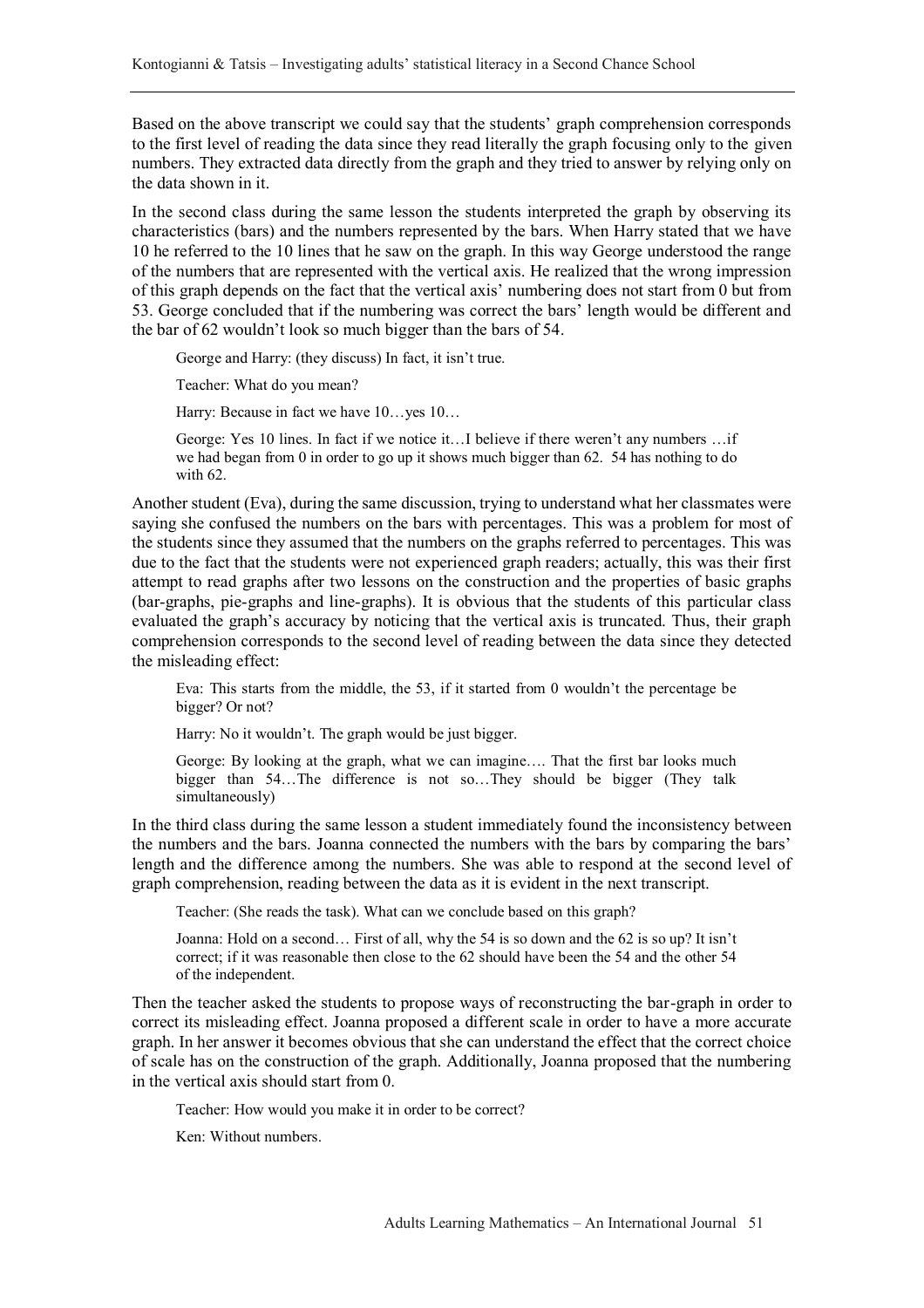Based on the above transcript we could say that the students' graph comprehension corresponds to the first level of reading the data since they read literally the graph focusing only to the given numbers. They extracted data directly from the graph and they tried to answer by relying only on the data shown in it.

In the second class during the same lesson the students interpreted the graph by observing its characteristics (bars) and the numbers represented by the bars. When Harry stated that we have 10 he referred to the 10 lines that he saw on the graph. In this way George understood the range of the numbers that are represented with the vertical axis. He realized that the wrong impression of this graph depends on the fact that the vertical axis' numbering does not start from 0 but from 53. George concluded that if the numbering was correct the bars' length would be different and the bar of 62 wouldn't look so much bigger than the bars of 54.

George and Harry: (they discuss) In fact, it isn't true.

Teacher: What do you mean?

Harry: Because in fact we have  $10...$  yes  $10...$ 

George: Yes 10 lines. In fact if we notice it…I believe if there weren't any numbers …if we had began from 0 in order to go up it shows much bigger than 62. 54 has nothing to do with 62.

Another student (Eva), during the same discussion, trying to understand what her classmates were saying she confused the numbers on the bars with percentages. This was a problem for most of the students since they assumed that the numbers on the graphs referred to percentages. This was due to the fact that the students were not experienced graph readers; actually, this was their first attempt to read graphs after two lessons on the construction and the properties of basic graphs (bar-graphs, pie-graphs and line-graphs). It is obvious that the students of this particular class evaluated the graph's accuracy by noticing that the vertical axis is truncated. Thus, their graph comprehension corresponds to the second level of reading between the data since they detected the misleading effect:

Eva: This starts from the middle, the 53, if it started from 0 wouldn't the percentage be bigger? Or not?

Harry: No it wouldn't. The graph would be just bigger.

George: By looking at the graph, what we can imagine…. That the first bar looks much bigger than 54…The difference is not so…They should be bigger (They talk simultaneously)

In the third class during the same lesson a student immediately found the inconsistency between the numbers and the bars. Joanna connected the numbers with the bars by comparing the bars' length and the difference among the numbers. She was able to respond at the second level of graph comprehension, reading between the data as it is evident in the next transcript.

Teacher: (She reads the task). What can we conclude based on this graph?

Joanna: Hold on a second… First of all, why the 54 is so down and the 62 is so up? It isn't correct; if it was reasonable then close to the 62 should have been the 54 and the other 54 of the independent.

Then the teacher asked the students to propose ways of reconstructing the bar-graph in order to correct its misleading effect. Joanna proposed a different scale in order to have a more accurate graph. In her answer it becomes obvious that she can understand the effect that the correct choice of scale has on the construction of the graph. Additionally, Joanna proposed that the numbering in the vertical axis should start from 0.

Teacher: How would you make it in order to be correct?

Ken: Without numbers.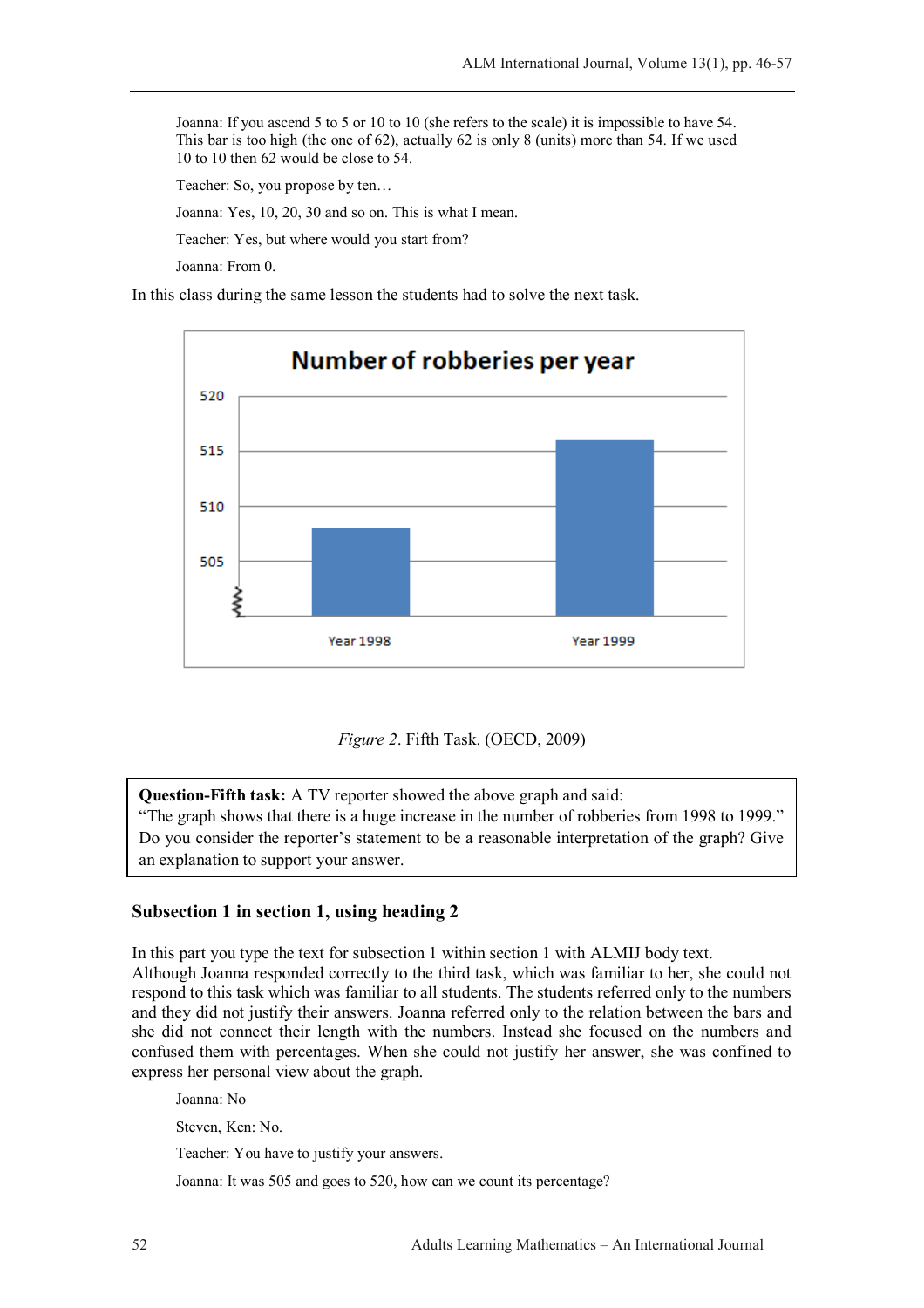Joanna: If you ascend 5 to 5 or 10 to 10 (she refers to the scale) it is impossible to have 54. This bar is too high (the one of 62), actually 62 is only 8 (units) more than 54. If we used 10 to 10 then 62 would be close to 54.

Teacher: So, you propose by ten…

Joanna: Yes, 10, 20, 30 and so on. This is what I mean.

Teacher: Yes, but where would you start from?

Joanna: From 0.

In this class during the same lesson the students had to solve the next task.





**Question-Fifth task:** A TV reporter showed the above graph and said:

"The graph shows that there is a huge increase in the number of robberies from 1998 to 1999." Do you consider the reporter's statement to be a reasonable interpretation of the graph? Give an explanation to support your answer.

## **Subsection 1 in section 1, using heading 2**

In this part you type the text for subsection 1 within section 1 with ALMIJ body text. Although Joanna responded correctly to the third task, which was familiar to her, she could not respond to this task which was familiar to all students. The students referred only to the numbers and they did not justify their answers. Joanna referred only to the relation between the bars and she did not connect their length with the numbers. Instead she focused on the numbers and confused them with percentages. When she could not justify her answer, she was confined to express her personal view about the graph.

Joanna: No

Steven, Ken: No.

Teacher: You have to justify your answers.

Joanna: It was 505 and goes to 520, how can we count its percentage?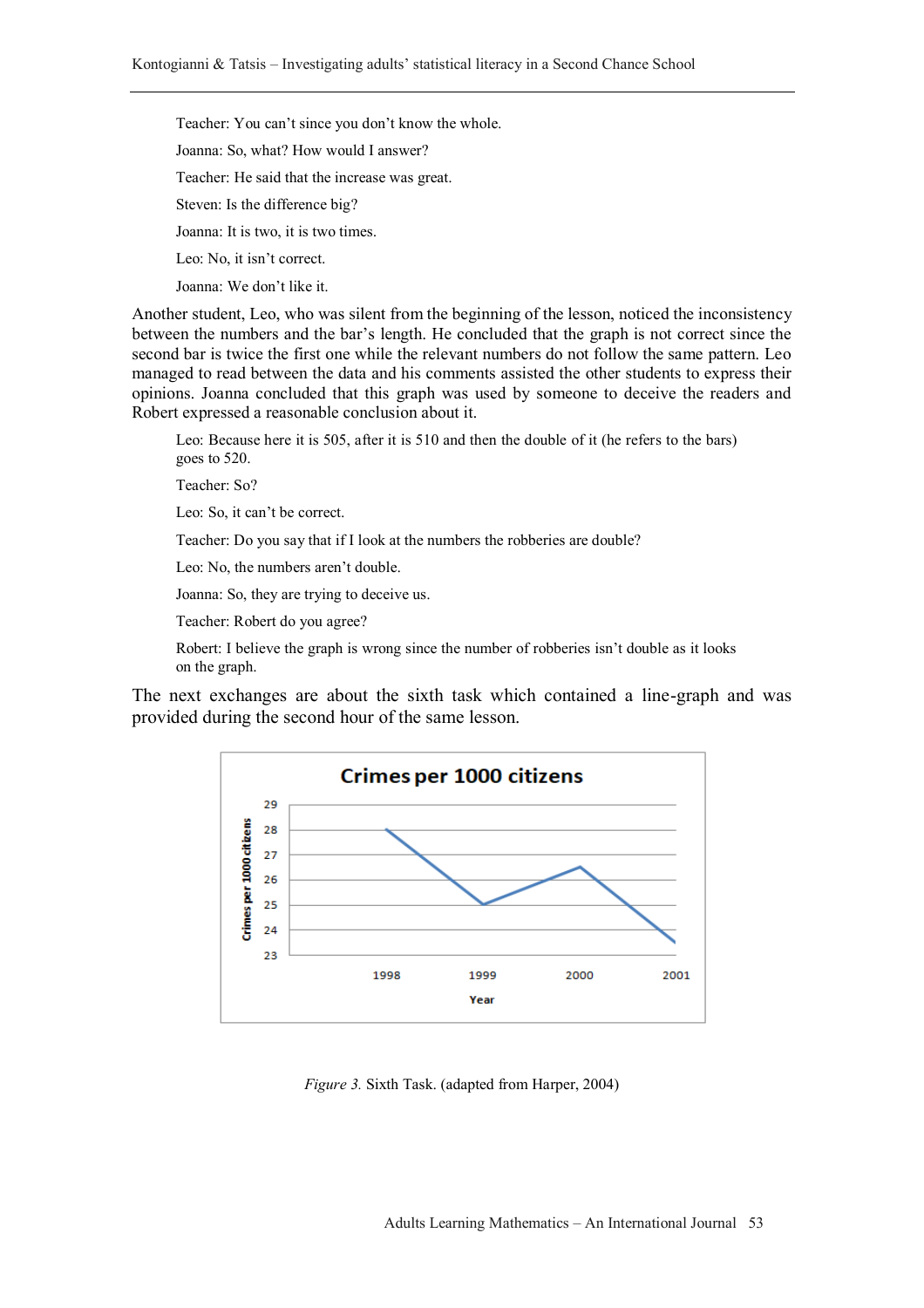Teacher: You can't since you don't know the whole. Joanna: So, what? How would I answer? Teacher: He said that the increase was great. Steven: Is the difference big? Joanna: It is two, it is two times. Leo: No, it isn't correct. Joanna: We don't like it.

Another student, Leo, who was silent from the beginning of the lesson, noticed the inconsistency between the numbers and the bar's length. He concluded that the graph is not correct since the second bar is twice the first one while the relevant numbers do not follow the same pattern. Leo managed to read between the data and his comments assisted the other students to express their opinions. Joanna concluded that this graph was used by someone to deceive the readers and Robert expressed a reasonable conclusion about it.

Leo: Because here it is 505, after it is 510 and then the double of it (he refers to the bars) goes to 520.

Teacher: So?

Leo: So, it can't be correct.

Teacher: Do you say that if I look at the numbers the robberies are double?

Leo: No, the numbers aren't double.

Joanna: So, they are trying to deceive us.

Teacher: Robert do you agree?

Robert: I believe the graph is wrong since the number of robberies isn't double as it looks on the graph.

The next exchanges are about the sixth task which contained a line-graph and was provided during the second hour of the same lesson.



*Figure 3.* Sixth Task. (adapted from Harper, 2004)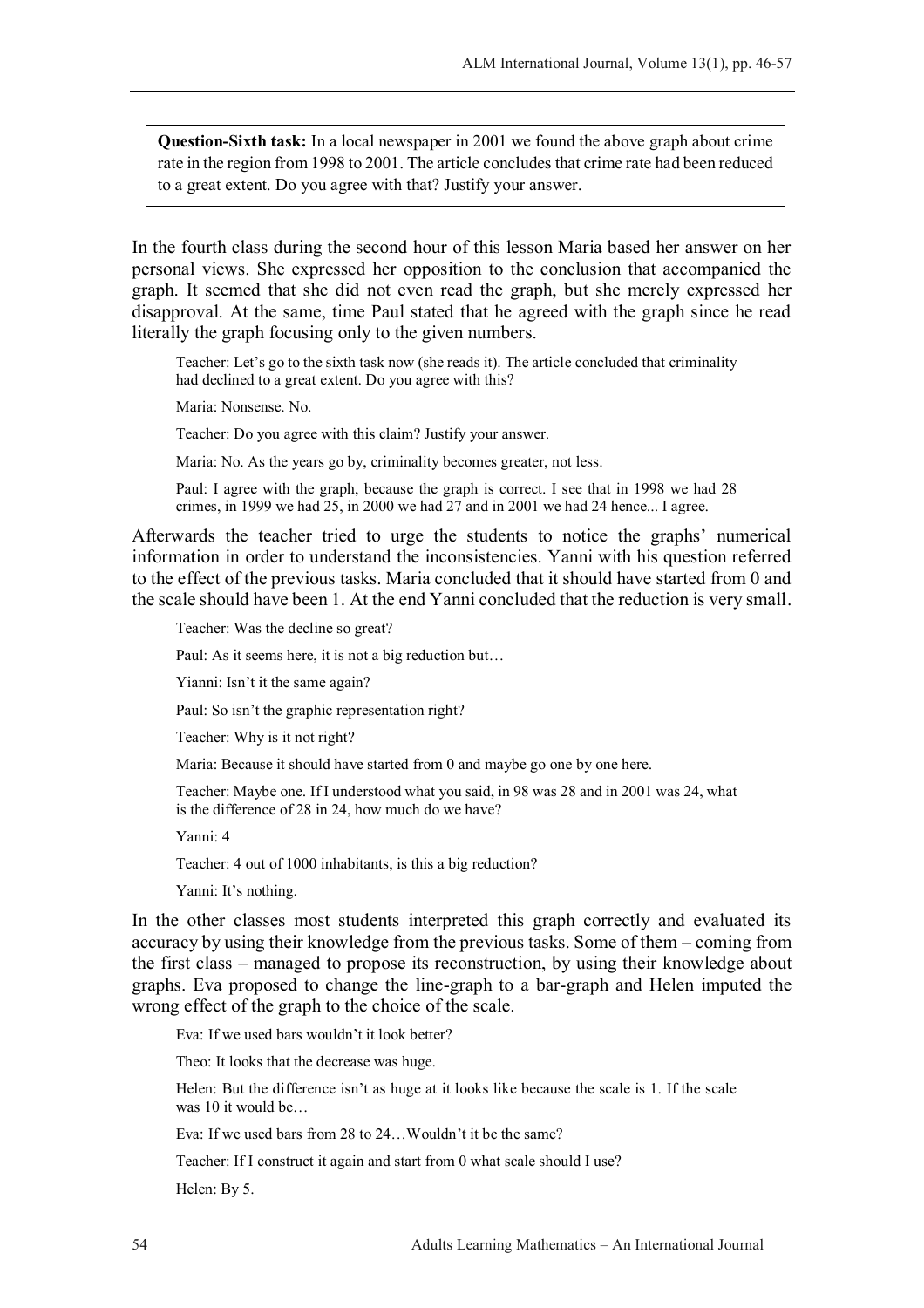**Question-Sixth task:** In a local newspaper in 2001 we found the above graph about crime rate in the region from 1998 to 2001. The article concludes that crime rate had been reduced to a great extent. Do you agree with that? Justify your answer.

In the fourth class during the second hour of this lesson Maria based her answer on her personal views. She expressed her opposition to the conclusion that accompanied the graph. It seemed that she did not even read the graph, but she merely expressed her disapproval. At the same, time Paul stated that he agreed with the graph since he read literally the graph focusing only to the given numbers.

Teacher: Let's go to the sixth task now (she reads it). The article concluded that criminality had declined to a great extent. Do you agree with this?

Maria: Nonsense. No.

Teacher: Do you agree with this claim? Justify your answer.

Maria: No. As the years go by, criminality becomes greater, not less.

Paul: I agree with the graph, because the graph is correct. I see that in 1998 we had 28 crimes, in 1999 we had 25, in 2000 we had 27 and in 2001 we had 24 hence... I agree.

Afterwards the teacher tried to urge the students to notice the graphs' numerical information in order to understand the inconsistencies. Yanni with his question referred to the effect of the previous tasks. Maria concluded that it should have started from 0 and the scale should have been 1. At the end Yanni concluded that the reduction is very small.

Teacher: Was the decline so great?

Paul: As it seems here, it is not a big reduction but…

Yianni: Isn't it the same again?

Paul: So isn't the graphic representation right?

Teacher: Why is it not right?

Maria: Because it should have started from 0 and maybe go one by one here.

Teacher: Maybe one. If I understood what you said, in 98 was 28 and in 2001 was 24, what is the difference of 28 in 24, how much do we have?

Yanni: 4

Teacher: 4 out of 1000 inhabitants, is this a big reduction?

Yanni: It's nothing.

In the other classes most students interpreted this graph correctly and evaluated its accuracy by using their knowledge from the previous tasks. Some of them – coming from the first class – managed to propose its reconstruction, by using their knowledge about graphs. Eva proposed to change the line-graph to a bar-graph and Helen imputed the wrong effect of the graph to the choice of the scale.

Eva: If we used bars wouldn't it look better?

Theo: It looks that the decrease was huge.

Helen: But the difference isn't as huge at it looks like because the scale is 1. If the scale was 10 it would be...

Eva: If we used bars from 28 to 24…Wouldn't it be the same?

Teacher: If I construct it again and start from 0 what scale should I use?

Helen: By 5.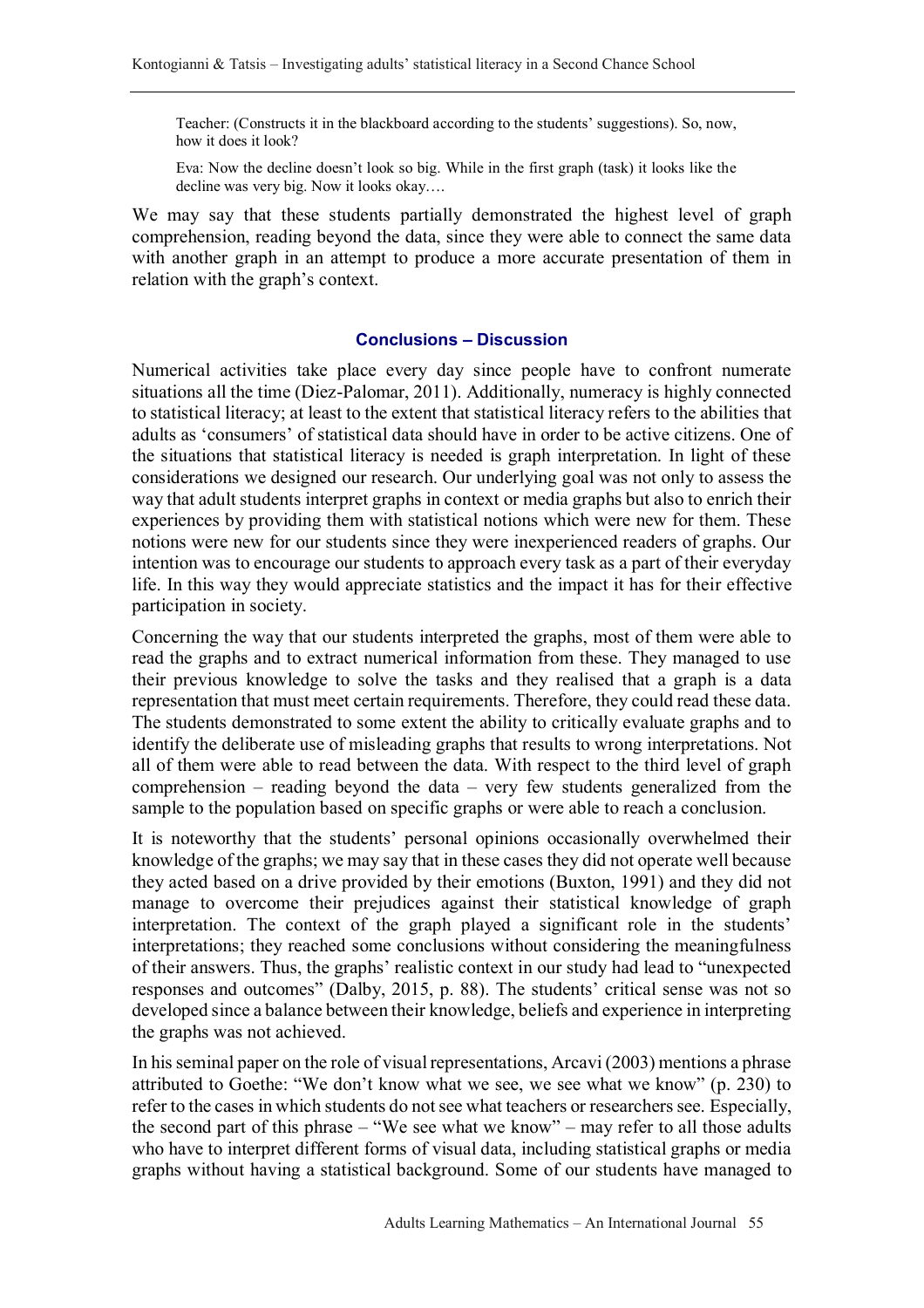Teacher: (Constructs it in the blackboard according to the students' suggestions). So, now, how it does it look?

Eva: Now the decline doesn't look so big. While in the first graph (task) it looks like the decline was very big. Now it looks okay….

We may say that these students partially demonstrated the highest level of graph comprehension, reading beyond the data, since they were able to connect the same data with another graph in an attempt to produce a more accurate presentation of them in relation with the graph's context.

#### **Conclusions – Discussion**

Numerical activities take place every day since people have to confront numerate situations all the time (Diez-Palomar, 2011). Additionally, numeracy is highly connected to statistical literacy; at least to the extent that statistical literacy refers to the abilities that adults as 'consumers' of statistical data should have in order to be active citizens. One of the situations that statistical literacy is needed is graph interpretation. In light of these considerations we designed our research. Our underlying goal was not only to assess the way that adult students interpret graphs in context or media graphs but also to enrich their experiences by providing them with statistical notions which were new for them. These notions were new for our students since they were inexperienced readers of graphs. Our intention was to encourage our students to approach every task as a part of their everyday life. In this way they would appreciate statistics and the impact it has for their effective participation in society.

Concerning the way that our students interpreted the graphs, most of them were able to read the graphs and to extract numerical information from these. They managed to use their previous knowledge to solve the tasks and they realised that a graph is a data representation that must meet certain requirements. Therefore, they could read these data. The students demonstrated to some extent the ability to critically evaluate graphs and to identify the deliberate use of misleading graphs that results to wrong interpretations. Not all of them were able to read between the data. With respect to the third level of graph comprehension – reading beyond the data – very few students generalized from the sample to the population based on specific graphs or were able to reach a conclusion.

It is noteworthy that the students' personal opinions occasionally overwhelmed their knowledge of the graphs; we may say that in these cases they did not operate well because they acted based on a drive provided by their emotions (Buxton, 1991) and they did not manage to overcome their prejudices against their statistical knowledge of graph interpretation. The context of the graph played a significant role in the students' interpretations; they reached some conclusions without considering the meaningfulness of their answers. Thus, the graphs' realistic context in our study had lead to "unexpected responses and outcomes" (Dalby, 2015, p. 88). The students' critical sense was not so developed since a balance between their knowledge, beliefs and experience in interpreting the graphs was not achieved.

In his seminal paper on the role of visual representations, Arcavi (2003) mentions a phrase attributed to Goethe: "We don't know what we see, we see what we know" (p. 230) to refer to the cases in which students do not see what teachers or researchers see. Especially, the second part of this phrase – "We see what we know" – may refer to all those adults who have to interpret different forms of visual data, including statistical graphs or media graphs without having a statistical background. Some of our students have managed to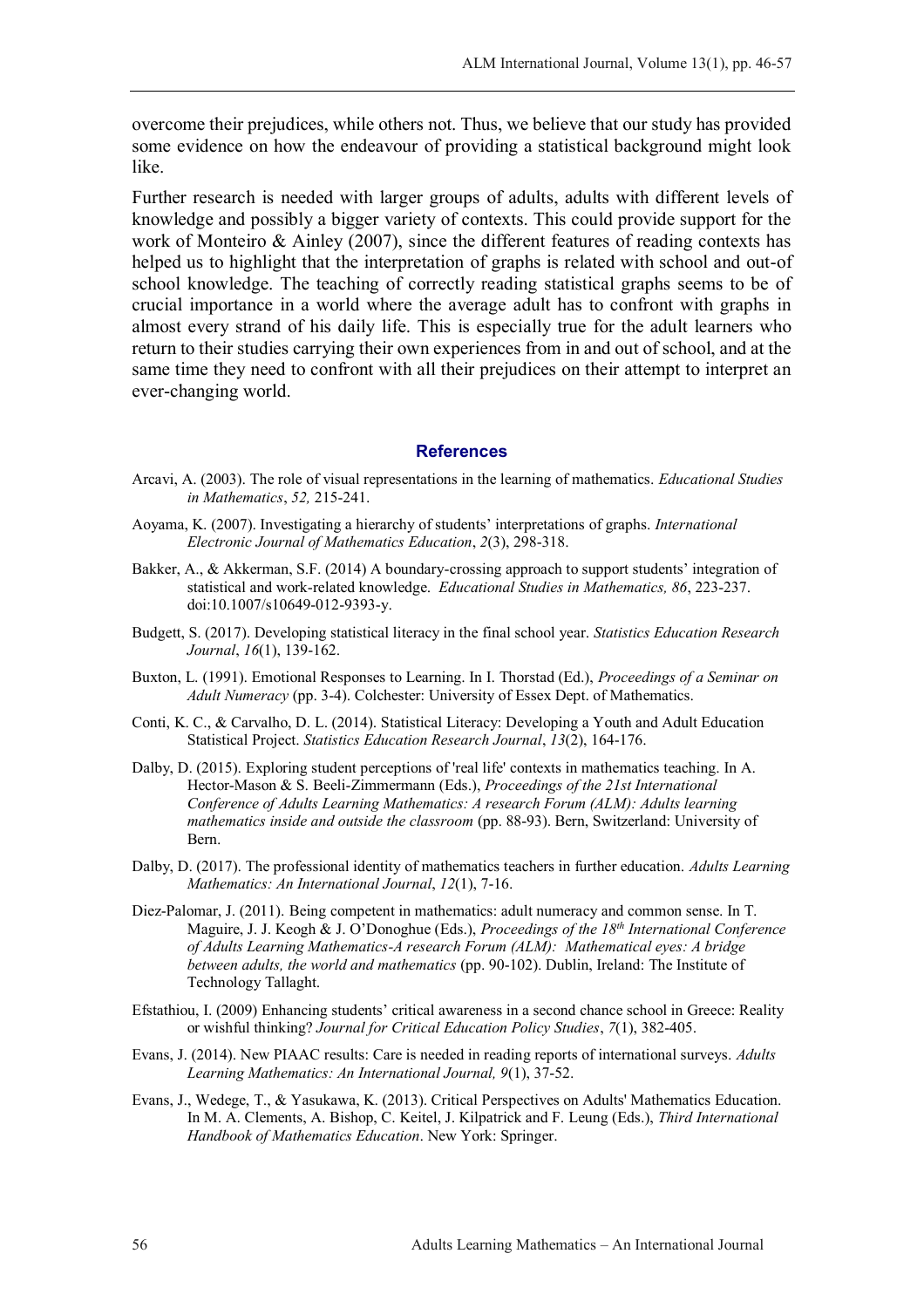overcome their prejudices, while others not. Thus, we believe that our study has provided some evidence on how the endeavour of providing a statistical background might look like.

Further research is needed with larger groups of adults, adults with different levels of knowledge and possibly a bigger variety of contexts. This could provide support for the work of Monteiro & Ainley (2007), since the different features of reading contexts has helped us to highlight that the interpretation of graphs is related with school and out-of school knowledge. The teaching of correctly reading statistical graphs seems to be of crucial importance in a world where the average adult has to confront with graphs in almost every strand of his daily life. This is especially true for the adult learners who return to their studies carrying their own experiences from in and out of school, and at the same time they need to confront with all their prejudices on their attempt to interpret an ever-changing world.

#### **References**

- Arcavi, A. (2003). The role of visual representations in the learning of mathematics. *Educational Studies in Mathematics*, *52,* 215-241.
- Aoyama, K. (2007). Investigating a hierarchy of students' interpretations of graphs. *International Electronic Journal of Mathematics Education*, *2*(3), 298-318.
- Bakker, A., & Akkerman, S.F. (2014) A boundary-crossing approach to support students' integration of statistical and work-related knowledge. *Educational Studies in Mathematics, 86*, 223-237. doi:10.1007/s10649-012-9393-y.
- Budgett, S. (2017). Developing statistical literacy in the final school year. *Statistics Education Research Journal*, *16*(1), 139-162.
- Buxton, L. (1991). Emotional Responses to Learning. In I. Thorstad (Ed.), *Proceedings of a Seminar on Adult Numeracy* (pp. 3-4). Colchester: University of Essex Dept. of Mathematics.
- Conti, K. C., & Carvalho, D. L. (2014). Statistical Literacy: Developing a Youth and Adult Education Statistical Project. *Statistics Education Research Journal*, *13*(2), 164-176.
- Dalby, D. (2015). Exploring student perceptions of 'real life' contexts in mathematics teaching. In A. Hector-Mason & S. Beeli-Zimmermann (Eds.), *Proceedings of the 21st International Conference of Adults Learning Mathematics: A research Forum (ALM): Adults learning mathematics inside and outside the classroom* (pp. 88-93). Bern, Switzerland: University of Bern.
- Dalby, D. (2017). The professional identity of mathematics teachers in further education. *Adults Learning Mathematics: An International Journal*, *12*(1), 7-16.
- Diez-Palomar, J. (2011). Being competent in mathematics: adult numeracy and common sense. In T. Maguire, J. J. Keogh & J. O'Donoghue (Eds.), *Proceedings of the 18th International Conference of Adults Learning Mathematics-A research Forum (ALM): Mathematical eyes: A bridge between adults, the world and mathematics* (pp. 90-102). Dublin, Ireland: The Institute of Technology Tallaght.
- Efstathiou, I. (2009) Enhancing students' critical awareness in a second chance school in Greece: Reality or wishful thinking? *Journal for Critical Education Policy Studies*, *7*(1), 382-405.
- Evans, J. (2014). New PIAAC results: Care is needed in reading reports of international surveys. *Adults Learning Mathematics: An International Journal, 9*(1), 37-52.
- Evans, J., Wedege, T., & Yasukawa, K. (2013). Critical Perspectives on Adults' Mathematics Education. In M. A. Clements, A. Bishop, C. Keitel, J. Kilpatrick and F. Leung (Eds.), *Third International Handbook of Mathematics Education*. New York: Springer.